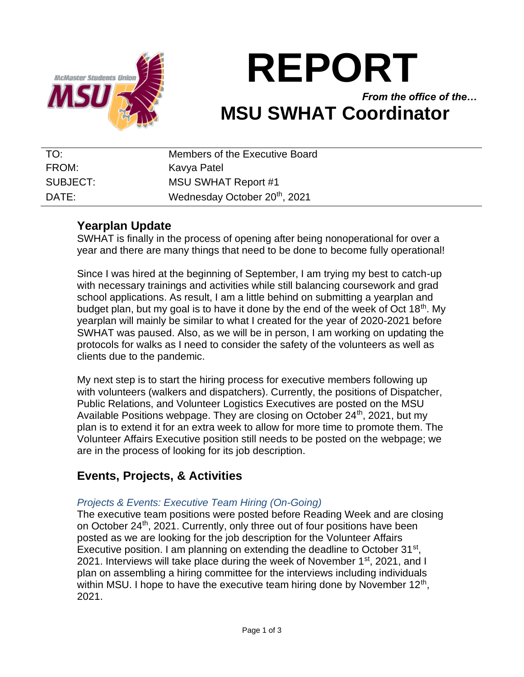

# **REPORT**

*From the office of the…* **MSU SWHAT Coordinator**

| TO:      | Members of the Executive Board            |
|----------|-------------------------------------------|
| FROM:    | Kavya Patel                               |
| SUBJECT: | <b>MSU SWHAT Report #1</b>                |
| DATE:    | Wednesday October 20 <sup>th</sup> , 2021 |

# **Yearplan Update**

SWHAT is finally in the process of opening after being nonoperational for over a year and there are many things that need to be done to become fully operational!

Since I was hired at the beginning of September, I am trying my best to catch-up with necessary trainings and activities while still balancing coursework and grad school applications. As result, I am a little behind on submitting a yearplan and budget plan, but my goal is to have it done by the end of the week of Oct  $18<sup>th</sup>$ . My yearplan will mainly be similar to what I created for the year of 2020-2021 before SWHAT was paused. Also, as we will be in person, I am working on updating the protocols for walks as I need to consider the safety of the volunteers as well as clients due to the pandemic.

My next step is to start the hiring process for executive members following up with volunteers (walkers and dispatchers). Currently, the positions of Dispatcher, Public Relations, and Volunteer Logistics Executives are posted on the MSU Available Positions webpage. They are closing on October 24<sup>th</sup>, 2021, but my plan is to extend it for an extra week to allow for more time to promote them. The Volunteer Affairs Executive position still needs to be posted on the webpage; we are in the process of looking for its job description.

# **Events, Projects, & Activities**

## *Projects & Events: Executive Team Hiring (On-Going)*

The executive team positions were posted before Reading Week and are closing on October 24<sup>th</sup>, 2021. Currently, only three out of four positions have been posted as we are looking for the job description for the Volunteer Affairs Executive position. I am planning on extending the deadline to October  $31^{st}$ , 2021. Interviews will take place during the week of November 1<sup>st</sup>, 2021, and I plan on assembling a hiring committee for the interviews including individuals within MSU. I hope to have the executive team hiring done by November  $12<sup>th</sup>$ , 2021.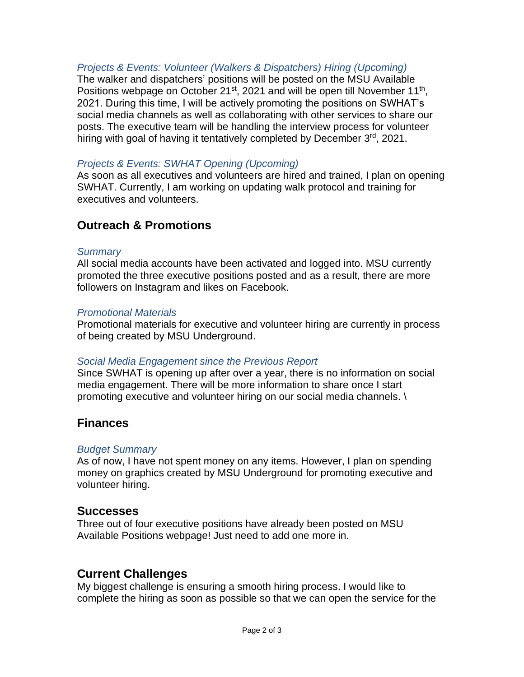## *Projects & Events: Volunteer (Walkers & Dispatchers) Hiring (Upcoming)*

The walker and dispatchers' positions will be posted on the MSU Available Positions webpage on October 21<sup>st</sup>, 2021 and will be open till November 11<sup>th</sup>, 2021. During this time, I will be actively promoting the positions on SWHAT's social media channels as well as collaborating with other services to share our posts. The executive team will be handling the interview process for volunteer hiring with goal of having it tentatively completed by December 3<sup>rd</sup>, 2021.

## *Projects & Events: SWHAT Opening (Upcoming)*

As soon as all executives and volunteers are hired and trained, I plan on opening SWHAT. Currently, I am working on updating walk protocol and training for executives and volunteers.

# **Outreach & Promotions**

#### *Summary*

All social media accounts have been activated and logged into. MSU currently promoted the three executive positions posted and as a result, there are more followers on Instagram and likes on Facebook.

#### *Promotional Materials*

Promotional materials for executive and volunteer hiring are currently in process of being created by MSU Underground.

#### *Social Media Engagement since the Previous Report*

Since SWHAT is opening up after over a year, there is no information on social media engagement. There will be more information to share once I start promoting executive and volunteer hiring on our social media channels. \

## **Finances**

#### *Budget Summary*

As of now, I have not spent money on any items. However, I plan on spending money on graphics created by MSU Underground for promoting executive and volunteer hiring.

#### **Successes**

Three out of four executive positions have already been posted on MSU Available Positions webpage! Just need to add one more in.

# **Current Challenges**

My biggest challenge is ensuring a smooth hiring process. I would like to complete the hiring as soon as possible so that we can open the service for the